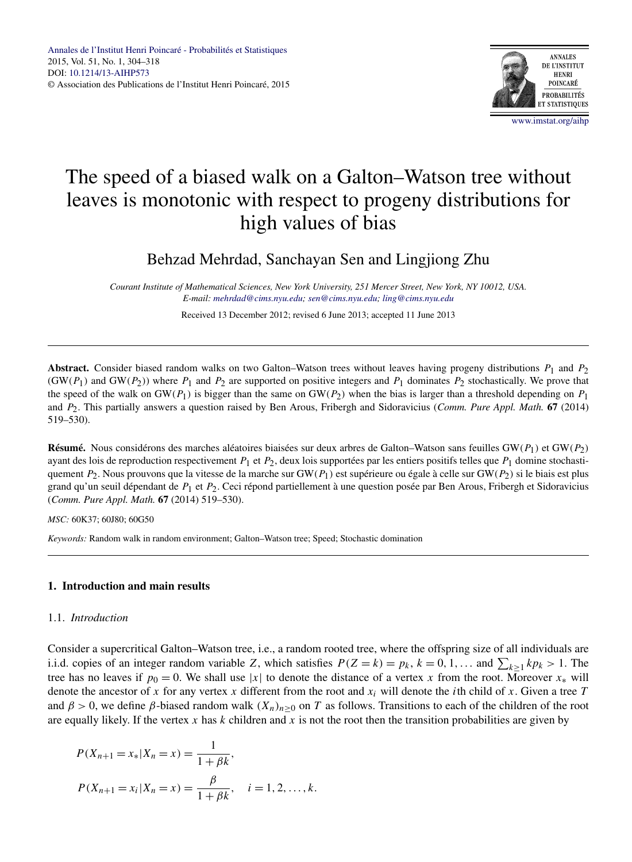

# The speed of a biased walk on a Galton–Watson tree without leaves is monotonic with respect to progeny distributions for high values of bias

Behzad Mehrdad, Sanchayan Sen and Lingjiong Zhu

*Courant Institute of Mathematical Sciences, New York University, 251 Mercer Street, New York, NY 10012, USA. E-mail: [mehrdad@cims.nyu.edu;](mailto:mehrdad@cims.nyu.edu) [sen@cims.nyu.edu](mailto:sen@cims.nyu.edu); [ling@cims.nyu.edu](mailto:ling@cims.nyu.edu)*

Received 13 December 2012; revised 6 June 2013; accepted 11 June 2013

**Abstract.** Consider biased random walks on two Galton–Watson trees without leaves having progeny distributions *P*1 and *P*2  $(GW(P_1)$  and  $GW(P_2)$ ) where  $P_1$  and  $P_2$  are supported on positive integers and  $P_1$  dominates  $P_2$  stochastically. We prove that the speed of the walk on GW( $P_1$ ) is bigger than the same on GW( $P_2$ ) when the bias is larger than a threshold depending on  $P_1$ and *P*2. This partially answers a question raised by Ben Arous, Fribergh and Sidoravicius (*Comm. Pure Appl. Math.* **67** (2014) 519–530).

**Résumé.** Nous considérons des marches aléatoires biaisées sur deux arbres de Galton–Watson sans feuilles GW*(P*1*)* et GW*(P*2*)* ayant des lois de reproduction respectivement *P*1 et *P*2, deux lois supportées par les entiers positifs telles que *P*1 domine stochastiquement *P*2. Nous prouvons que la vitesse de la marche sur GW*(P*1*)* est supérieure ou égale à celle sur GW*(P*2*)* si le biais est plus grand qu'un seuil dépendant de *P*1 et *P*2. Ceci répond partiellement à une question posée par Ben Arous, Fribergh et Sidoravicius (*Comm. Pure Appl. Math.* **67** (2014) 519–530).

*MSC:* 60K37; 60J80; 60G50

*Keywords:* Random walk in random environment; Galton–Watson tree; Speed; Stochastic domination

## **1. Introduction and main results**

## 1.1. *Introduction*

Consider a supercritical Galton–Watson tree, i.e., a random rooted tree, where the offspring size of all individuals are i.i.d. copies of an integer random variable *Z*, which satisfies  $P(Z = k) = p_k$ ,  $k = 0, 1, \ldots$  and  $\sum_{k \ge 1} k p_k > 1$ . The tree has no leaves if  $p_0 = 0$ . We shall use |*x*| to denote the distance of a vertex *x* from the root. Moreover  $x_*$  will denote the ancestor of x for any vertex x different from the root and  $x_i$  will denote the *i*th child of x. Given a tree T and  $\beta > 0$ , we define  $\beta$ -biased random walk  $(X_n)_{n \geq 0}$  on *T* as follows. Transitions to each of the children of the root are equally likely. If the vertex x has  $k$  children and  $x$  is not the root then the transition probabilities are given by

$$
P(X_{n+1} = x_* | X_n = x) = \frac{1}{1 + \beta k},
$$
  

$$
P(X_{n+1} = x_i | X_n = x) = \frac{\beta}{1 + \beta k}, \quad i = 1, 2, ..., k.
$$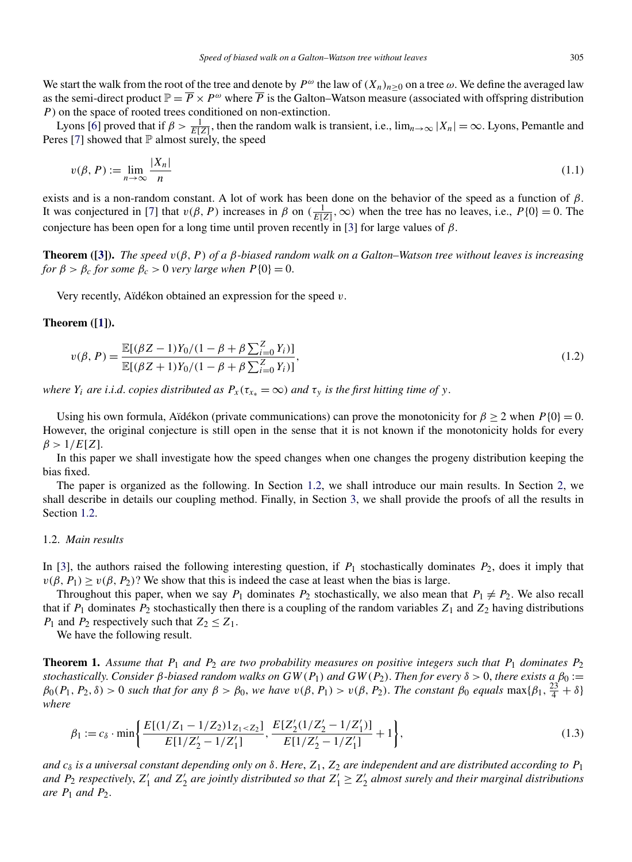<span id="page-1-0"></span>We start the walk from the root of the tree and denote by  $P^{\omega}$  the law of  $(X_n)_{n\geq 0}$  on a tree  $\omega$ . We define the averaged law as the semi-direct product  $\mathbb{P} = \overline{P} \times P^{\omega}$  where  $\overline{P}$  is the Galton–Watson measure (associated with offspring distribution *P*) on the space of rooted trees conditioned on non-extinction.

Lyons [\[6\]](#page-14-0) proved that if  $\beta > \frac{1}{E[Z]}$ , then the random walk is transient, i.e.,  $\lim_{n\to\infty} |X_n| = \infty$ . Lyons, Pemantle and Peres [\[7\]](#page-14-0) showed that  $\mathbb P$  almost surely, the speed

$$
v(\beta, P) := \lim_{n \to \infty} \frac{|X_n|}{n}
$$
\n(1.1)

exists and is a non-random constant. A lot of work has been done on the behavior of the speed as a function of *β*. It was conjectured in [\[7\]](#page-14-0) that  $v(\beta, P)$  increases in  $\beta$  on  $(\frac{1}{E[Z]}, \infty)$  when the tree has no leaves, i.e.,  $P\{0\} = 0$ . The conjecture has been open for a long time until proven recently in [\[3\]](#page-14-0) for large values of *β*.

**Theorem ([\[3\]](#page-14-0)).** *The speed v(β, P ) of a β-biased random walk on a Galton–Watson tree without leaves is increasing for*  $\beta > \beta_c$  *for some*  $\beta_c > 0$  *very large when*  $P\{0\} = 0$ .

Very recently, Aïdékon obtained an expression for the speed *v*.

#### **Theorem ([\[1\]](#page-14-0)).**

$$
v(\beta, P) = \frac{\mathbb{E}[(\beta Z - 1)Y_0/(1 - \beta + \beta \sum_{i=0}^{Z} Y_i)]}{\mathbb{E}[(\beta Z + 1)Y_0/(1 - \beta + \beta \sum_{i=0}^{Z} Y_i)]},
$$
\n(1.2)

*where*  $Y_i$  *are i.i.d. copies distributed as*  $P_x(\tau_{x*} = \infty)$  *and*  $\tau_y$  *is the first hitting time of y*.

Using his own formula, Aïdékon (private communications) can prove the monotonicity for  $\beta \ge 2$  when  $P\{0\} = 0$ . However, the original conjecture is still open in the sense that it is not known if the monotonicity holds for every  $\beta > 1/E[Z]$ .

In this paper we shall investigate how the speed changes when one changes the progeny distribution keeping the bias fixed.

The paper is organized as the following. In Section 1.2, we shall introduce our main results. In Section [2,](#page-2-0) we shall describe in details our coupling method. Finally, in Section [3,](#page-5-0) we shall provide the proofs of all the results in Section 1.2.

#### 1.2. *Main results*

In [\[3\]](#page-14-0), the authors raised the following interesting question, if  $P_1$  stochastically dominates  $P_2$ , does it imply that  $v(\beta, P_1) \ge v(\beta, P_2)$ ? We show that this is indeed the case at least when the bias is large.

Throughout this paper, when we say  $P_1$  dominates  $P_2$  stochastically, we also mean that  $P_1 \neq P_2$ . We also recall that if  $P_1$  dominates  $P_2$  stochastically then there is a coupling of the random variables  $Z_1$  and  $Z_2$  having distributions *P*<sub>1</sub> and *P*<sub>2</sub> respectively such that  $Z_2 \leq Z_1$ .

We have the following result.

**Theorem 1.** Assume that  $P_1$  and  $P_2$  are two probability measures on positive integers such that  $P_1$  dominates  $P_2$ *stochastically. Consider*  $\beta$ -biased random walks on  $GW(P_1)$  and  $GW(P_2)$ . Then for every  $\delta > 0$ , there exists a  $\beta_0 :=$  $\beta_0(P_1, P_2, \delta) > 0$  *such that for any*  $\beta > \beta_0$ , *we have*  $v(\beta, P_1) > v(\beta, P_2)$ . *The constant*  $\beta_0$  *equals* max $\{\beta_1, \frac{23}{4} + \delta\}$ *where*

$$
\beta_1 := c_{\delta} \cdot \min\left\{ \frac{E[(1/Z_1 - 1/Z_2)1_{Z_1 < Z_2}]}{E[1/Z_2' - 1/Z_1']}, \frac{E[Z_2'(1/Z_2' - 1/Z_1']]}{E[1/Z_2' - 1/Z_1']} + 1 \right\},\tag{1.3}
$$

*and*  $c_{\delta}$  *is a universal constant depending only on*  $\delta$ . Here,  $Z_1$ ,  $Z_2$  *are independent and are distributed according to*  $P_1$ and  $P_2$  *respectively,*  $Z'_1$  *and*  $Z'_2$  *are jointly distributed so that*  $Z'_1 \ge Z'_2$  *almost surely and their marginal distributions are*  $P_1$  *and*  $P_2$ *.*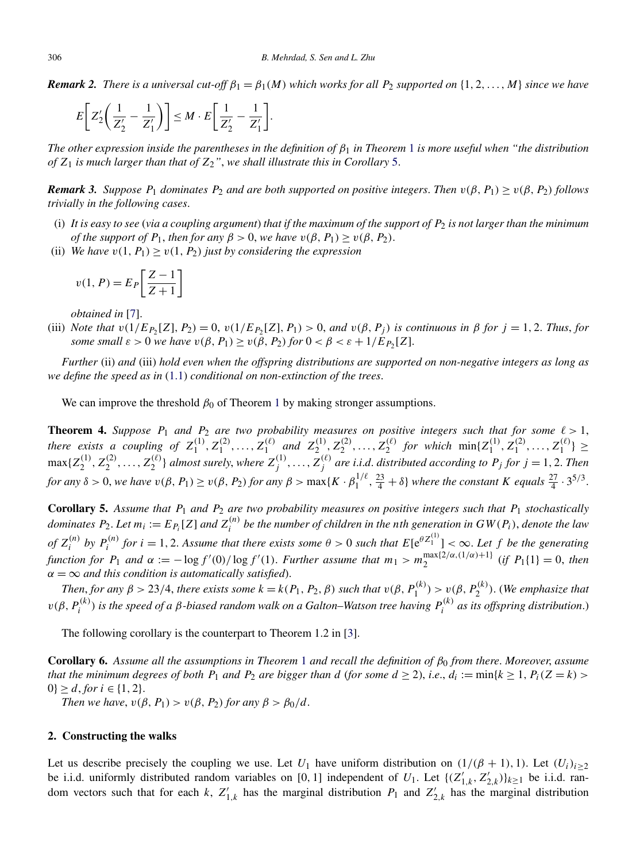<span id="page-2-0"></span>*Remark 2. There is a universal cut-off*  $\beta_1 = \beta_1(M)$  *which works for all P*<sub>2</sub> *supported on*  $\{1, 2, ..., M\}$  *since we have* 

$$
E\bigg[Z'_2\bigg(\frac{1}{Z'_2}-\frac{1}{Z'_1}\bigg)\bigg] \leq M \cdot E\bigg[\frac{1}{Z'_2}-\frac{1}{Z'_1}\bigg].
$$

*The other expression inside the parentheses in the definition of β*<sup>1</sup> *in Theorem* [1](#page-1-0) *is more useful when "the distribution of Z*<sup>1</sup> *is much larger than that of Z*2*"*, *we shall illustrate this in Corollary* 5.

*Remark 3. Suppose*  $P_1$  *dominates*  $P_2$  *and are both supported on positive integers. Then*  $v(\beta, P_1) \ge v(\beta, P_2)$  *follows trivially in the following cases*.

- (i) *It is easy to see* (*via a coupling argument*) *that if the maximum of the support of P*<sup>2</sup> *is not larger than the minimum of the support of*  $P_1$ *, then for any*  $\beta > 0$ *, we have*  $v(\beta, P_1) \ge v(\beta, P_2)$ *.*
- (ii) *We have*  $v(1, P_1) \ge v(1, P_2)$  *just by considering the expression*

$$
v(1, P) = E_P \left[ \frac{Z - 1}{Z + 1} \right]
$$

*obtained in* [\[7\]](#page-14-0).

(iii) Note that  $v(1/E_{P_2}[Z], P_2) = 0$ ,  $v(1/E_{P_2}[Z], P_1) > 0$ , and  $v(\beta, P_i)$  is continuous in  $\beta$  for  $j = 1, 2$ . Thus, for *some small*  $\varepsilon > 0$  *we have*  $v(\beta, P_1) > v(\beta, P_2)$  *for*  $0 < \beta < \varepsilon + 1/E_{P_2}[Z]$ .

*Further* (ii) *and* (iii) *hold even when the offspring distributions are supported on non-negative integers as long as we define the speed as in* [\(1.1\)](#page-1-0) *conditional on non-extinction of the trees*.

We can improve the threshold  $\beta_0$  of Theorem [1](#page-1-0) by making stronger assumptions.

**Theorem 4.** *Suppose*  $P_1$  *and*  $P_2$  *are two probability measures on positive integers such that for some*  $\ell > 1$ , there exists a coupling of  $Z_1^{(1)}, Z_1^{(2)}, \ldots, Z_1^{(\ell)}$  and  $Z_2^{(1)}, Z_2^{(2)}, \ldots, Z_2^{(\ell)}$  for which  $\min\{Z_1^{(1)}, Z_1^{(2)}, \ldots, Z_1^{(\ell)}\} \ge$  $\max\{Z_2^{(1)},Z_2^{(2)},\ldots,Z_2^{(\ell)}\}$  almost surely, where  $Z_j^{(1)},\ldots,Z_j^{(\ell)}$  are i.i.d. distributed according to  $P_j$  for  $j=1,2$ . Then for any  $\delta > 0$ , we have  $v(\beta, P_1) \ge v(\beta, P_2)$  for any  $\beta > \max\{K \cdot \beta_1^{1/\ell}, \frac{23}{4} + \delta\}$  where the constant K equals  $\frac{27}{4} \cdot 3^{5/3}$ .

**Corollary 5.** *Assume that P*<sup>1</sup> *and P*<sup>2</sup> *are two probability measures on positive integers such that P*<sup>1</sup> *stochastically dominates*  $P_2$ . Let  $m_i := E_{P_i}[Z]$  and  $Z_i^{(n)}$  be the number of children in the nth generation in  $GW(P_i)$ , denote the law of  $Z_i^{(n)}$  by  $P_i^{(n)}$  for  $i = 1, 2$ . Assume that there exists some  $\theta > 0$  such that  $E[e^{\theta Z_1^{(1)}}] < \infty$ . Let f be the generating function for  $P_1$  and  $\alpha := -\log f'(0)/\log f'(1)$ . Further assume that  $m_1 > m_2^{\max\{2/\alpha,(1/\alpha)+1\}}$  (if  $P_1\{1\} = 0$ , then  $\alpha = \infty$  *and this condition is automatically satisfied*).

Then, for any  $\beta > 23/4$ , there exists some  $k = k(P_1, P_2, \beta)$  such that  $v(\beta, P_1^{(k)}) > v(\beta, P_2^{(k)})$ . (We emphasize that  $v(\beta, P_i^{(k)})$  is the speed of a β-biased random walk on a Galton–Watson tree having  $P_i^{(k)}$  as its offspring distribution.)

The following corollary is the counterpart to Theorem 1.2 in [\[3\]](#page-14-0).

**Corollary 6.** *Assume all the assumptions in Theorem* [1](#page-1-0) *and recall the definition of β*<sup>0</sup> *from there*. *Moreover*, *assume that the minimum degrees of both*  $P_1$  *and*  $P_2$  *are bigger than d* (*for some*  $d \ge 2$ )*, i.e.,*  $d_i := \min\{k \ge 1, P_i(Z = k)$  $0\geq d$ , *for*  $i \in \{1, 2\}.$ 

*Then we have,*  $v(\beta, P_1) > v(\beta, P_2)$  *for any*  $\beta > \beta_0/d$ .

# **2. Constructing the walks**

Let us describe precisely the coupling we use. Let  $U_1$  have uniform distribution on  $(1/(\beta + 1), 1)$ . Let  $(U_i)_{i\geq 2}$ be i.i.d. uniformly distributed random variables on [0, 1] independent of  $U_1$ . Let  $\{(Z'_{1,k}, Z'_{2,k})\}_{k\geq 1}$  be i.i.d. random vectors such that for each *k*,  $Z'_{1,k}$  has the marginal distribution  $P_1$  and  $Z'_{2,k}$  has the marginal distribution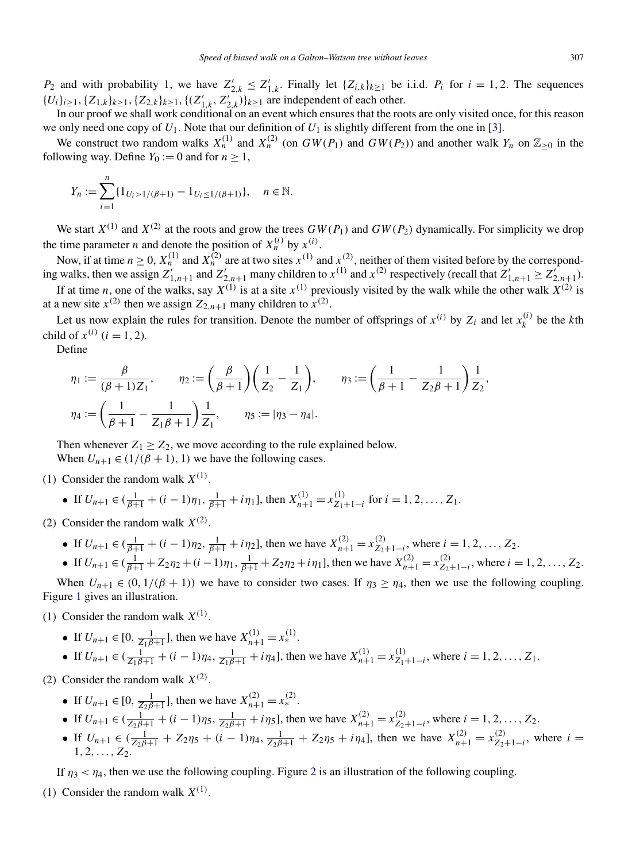*P*<sub>2</sub> and with probability 1, we have  $Z'_{2,k} \leq Z'_{1,k}$ . Finally let  $\{Z_{i,k}\}_{k\geq 1}$  be i.i.d. *P<sub>i</sub>* for *i* = 1, 2. The sequences  $\{U_i\}_{i\geq 1}$ ,  $\{Z_{1,k}\}_{k\geq 1}$ ,  $\{Z_{2,k}\}_{k\geq 1}$ ,  $\{(Z'_{1,k}, Z'_{2,k})\}_{k\geq 1}$  are independent of each other.

In our proof we shall work conditional on an event which ensures that the roots are only visited once, for this reason we only need one copy of  $U_1$ . Note that our definition of  $U_1$  is slightly different from the one in [\[3\]](#page-14-0).

We construct two random walks  $X_n^{(1)}$  and  $X_n^{(2)}$  (on  $GW(P_1)$  and  $GW(P_2)$ ) and another walk  $Y_n$  on  $\mathbb{Z}_{\geq 0}$  in the following way. Define  $Y_0 := 0$  and for  $n > 1$ ,

$$
Y_n := \sum_{i=1}^n \{1_{U_i > 1/(\beta+1)} - 1_{U_i \le 1/(\beta+1)}\}, \quad n \in \mathbb{N}.
$$

We start  $X^{(1)}$  and  $X^{(2)}$  at the roots and grow the trees  $GW(P_1)$  and  $GW(P_2)$  dynamically. For simplicity we drop the time parameter *n* and denote the position of  $X_n^{(i)}$  by  $x^{(i)}$ .

Now, if at time  $n \ge 0$ ,  $X_n^{(1)}$  and  $X_n^{(2)}$  are at two sites  $x^{(1)}$  and  $x^{(2)}$ , neither of them visited before by the corresponding walks, then we assign  $Z'_{1,n+1}$  and  $Z'_{2,n+1}$  many children to  $x^{(1)}$  and  $x^{(2)}$  respectively (recall that  $Z'_{1,n+1} \geq Z'_{2,n+1}$ ). If at time *n*, one of the walks, say  $X^{(1)}$  is at a site  $x^{(1)}$  previously visited by the walk while the other walk  $X^{(2)}$  is at a new site  $x^{(2)}$  then we assign  $Z_{2,n+1}$  many children to  $x^{(2)}$ .

Let us now explain the rules for transition. Denote the number of offsprings of  $x^{(i)}$  by  $Z_i$  and let  $x_k^{(i)}$  be the *k*th child of  $x^{(i)}$  ( $i = 1, 2$ ).

Define

$$
\eta_1 := \frac{\beta}{(\beta+1)Z_1}, \qquad \eta_2 := \left(\frac{\beta}{\beta+1}\right)\left(\frac{1}{Z_2} - \frac{1}{Z_1}\right), \qquad \eta_3 := \left(\frac{1}{\beta+1} - \frac{1}{Z_2\beta+1}\right)\frac{1}{Z_2}
$$

$$
\eta_4 := \left(\frac{1}{\beta+1} - \frac{1}{Z_1\beta+1}\right)\frac{1}{Z_1}, \qquad \eta_5 := |\eta_3 - \eta_4|.
$$

Then whenever  $Z_1 \geq Z_2$ , we move according to the rule explained below. When  $U_{n+1} \in (1/(\beta+1), 1)$  we have the following cases.

(1) Consider the random walk  $X^{(1)}$ .

• If 
$$
U_{n+1} \in (\frac{1}{\beta+1} + (i-1)\eta_1, \frac{1}{\beta+1} + i\eta_1]
$$
, then  $X_{n+1}^{(1)} = x_{Z_1+1-i}^{(1)}$  for  $i = 1, 2, ..., Z_1$ .

- (2) Consider the random walk  $X^{(2)}$ .
	- If  $U_{n+1} \in (\frac{1}{\beta+1} + (i-1)\eta_2, \frac{1}{\beta+1} + i\eta_2]$ , then we have  $X_{n+1}^{(2)} = x_{Z_2+1-i}^{(2)}$ , where  $i = 1, 2, ..., Z_2$ .
	- If  $U_{n+1} \in (\frac{1}{\beta+1} + Z_2 \eta_2 + (i-1)\eta_1, \frac{1}{\beta+1} + Z_2 \eta_2 + i\eta_1]$ , then we have  $X_{n+1}^{(2)} = x_{Z_2+1-i}^{(2)}$ , where  $i = 1, 2, ..., Z_2$ .

When  $U_{n+1} \in (0, 1/(\beta + 1))$  we have to consider two cases. If  $\eta_3 \ge \eta_4$ , then we use the following coupling. Figure [1](#page-4-0) gives an illustration.

(1) Consider the random walk  $X^{(1)}$ .

• If  $U_{n+1} \in [0, \frac{1}{Z_1 \beta + 1}]$ , then we have  $X_{n+1}^{(1)} = x_*^{(1)}$ . • If  $U_{n+1} \in (\frac{1}{Z_1\beta+1} + (i-1)\eta_4, \frac{1}{Z_1\beta+1} + i\eta_4]$ , then we have  $X_{n+1}^{(1)} = x_{Z_1+1-i}^{(1)}$ , where  $i = 1, 2, ..., Z_1$ .

(2) Consider the random walk  $X^{(2)}$ .

- If  $U_{n+1} \in [0, \frac{1}{Z_2 \beta + 1}]$ , then we have  $X_{n+1}^{(2)} = x_*^{(2)}$ .
- If  $U_{n+1} \in (\frac{1}{Z_2\beta+1} + (i-1)\eta_5, \frac{1}{Z_2\beta+1} + i\eta_5]$ , then we have  $X_{n+1}^{(2)} = x_{Z_2+1-i}^{(2)}$ , where  $i = 1, 2, ..., Z_2$ .
- If  $U_{n+1} \in (\frac{1}{2\pi/2}) + Z_2\eta_5 + (i-1)\eta_4$ ,  $\frac{1}{2\pi/2} + Z_2\eta_5 + i\eta_4$ , then we have  $X_{n+1}^{(2)} = x_{Z_2+1-i}^{(2)}$ , where  $i =$  $1, 2, \ldots, Z_2$ .

If  $\eta_3 < \eta_4$ , then we use the following coupling. Figure [2](#page-4-0) is an illustration of the following coupling.

(1) Consider the random walk  $X^{(1)}$ .

*,*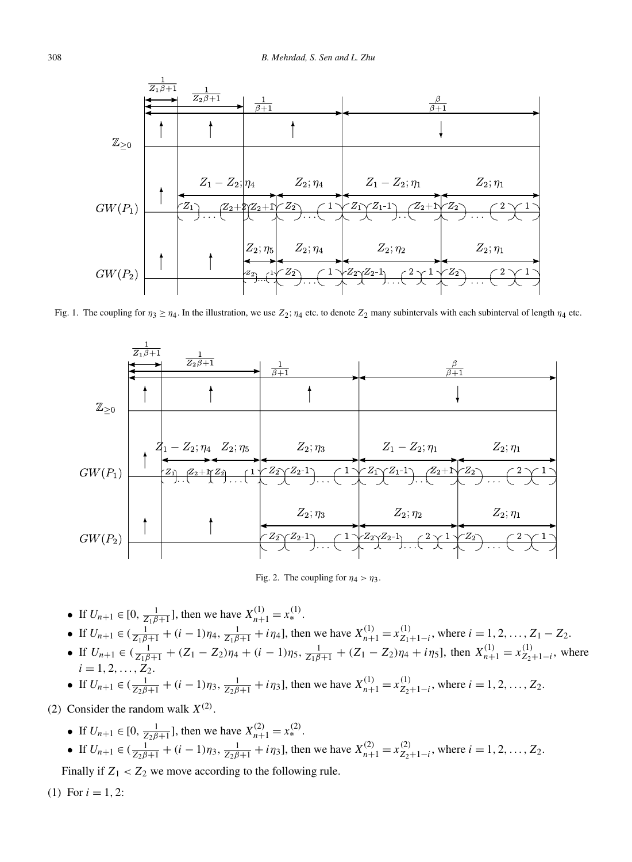<span id="page-4-0"></span>

Fig. 1. The coupling for  $\eta_3 \geq \eta_4$ . In the illustration, we use  $Z_2$ ;  $\eta_4$  etc. to denote  $Z_2$  many subintervals with each subinterval of length  $\eta_4$  etc.



Fig. 2. The coupling for  $\eta_4 > \eta_3$ .

- If  $U_{n+1} \in [0, \frac{1}{Z_1 \beta + 1}]$ , then we have  $X_{n+1}^{(1)} = x_*^{(1)}$ .
- If  $U_{n+1} \in (\frac{1}{Z_1\beta+1} + (i-1)\eta_4, \frac{1}{Z_1\beta+1} + i\eta_4]$ , then we have  $X_{n+1}^{(1)} = x_{Z_1+1-i}^{(1)}$ , where  $i = 1, 2, ..., Z_1 Z_2$ .
- If  $U_{n+1} \in (\frac{1}{Z_1\beta+1} + (Z_1 Z_2)\eta_4 + (i-1)\eta_5, \frac{1}{Z_1\beta+1} + (Z_1 Z_2)\eta_4 + i\eta_5]$ , then  $X_{n+1}^{(1)} = x_{Z_2+1-i}^{(1)}$ , where  $i = 1, 2, \ldots, Z_2.$
- If  $U_{n+1} \in (\frac{1}{Z_2\beta+1} + (i-1)\eta_3, \frac{1}{Z_2\beta+1} + i\eta_3]$ , then we have  $X_{n+1}^{(1)} = x_{Z_2+1-i}^{(1)}$ , where  $i = 1, 2, ..., Z_2$ .
- (2) Consider the random walk  $X^{(2)}$ .
	- If  $U_{n+1} \in [0, \frac{1}{Z_2 \beta + 1}]$ , then we have  $X_{n+1}^{(2)} = x_*^{(2)}$ .
	- If  $U_{n+1} \in (\frac{1}{Z_2\beta+1} + (i-1)\eta_3, \frac{1}{Z_2\beta+1} + i\eta_3]$ , then we have  $X_{n+1}^{(2)} = x_{Z_2+1-i}^{(2)}$ , where  $i = 1, 2, ..., Z_2$ .

Finally if  $Z_1 < Z_2$  we move according to the following rule.

(1) For  $i = 1, 2$ :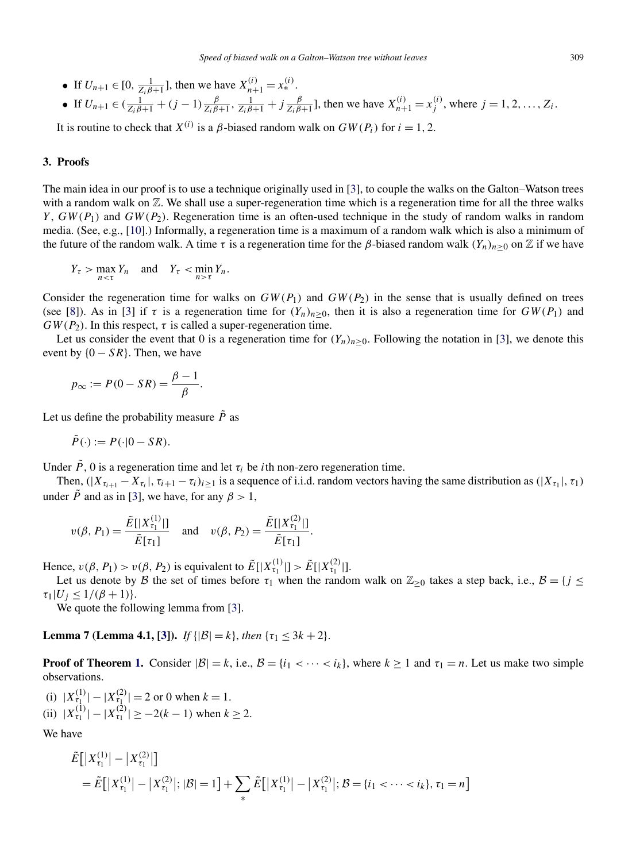<span id="page-5-0"></span>• If  $U_{n+1} \in [0, \frac{1}{Z_i \beta + 1}]$ , then we have  $X_{n+1}^{(i)} = x_*^{(i)}$ .

• If 
$$
U_{n+1} \in (\frac{1}{Z_i \beta + 1} + (j-1) \frac{\beta}{Z_i \beta + 1}, \frac{1}{Z_i \beta + 1} + j \frac{\beta}{Z_i \beta + 1}]
$$
, then we have  $X_{n+1}^{(i)} = x_j^{(i)}$ , where  $j = 1, 2, ..., Z_i$ .

It is routine to check that  $X^{(i)}$  is a *β*-biased random walk on  $GW(P_i)$  for  $i = 1, 2$ .

#### **3. Proofs**

The main idea in our proof is to use a technique originally used in [\[3\]](#page-14-0), to couple the walks on the Galton–Watson trees with a random walk on  $\mathbb Z$ . We shall use a super-regeneration time which is a regeneration time for all the three walks *Y* , *GW (P*1*)* and *GW (P*2*)*. Regeneration time is an often-used technique in the study of random walks in random media. (See, e.g., [\[10\]](#page-14-0).) Informally, a regeneration time is a maximum of a random walk which is also a minimum of the future of the random walk. A time *τ* is a regeneration time for the *β*-biased random walk  $(Y_n)_{n>0}$  on Z if we have

$$
Y_{\tau} > \max_{n < \tau} Y_n \quad \text{and} \quad Y_{\tau} < \min_{n > \tau} Y_n.
$$

Consider the regeneration time for walks on  $GW(P_1)$  and  $GW(P_2)$  in the sense that is usually defined on trees (see [\[8\]](#page-14-0)). As in [\[3\]](#page-14-0) if  $\tau$  is a regeneration time for  $(Y_n)_{n>0}$ , then it is also a regeneration time for  $GW(P_1)$  and  $GW(P_2)$ . In this respect,  $\tau$  is called a super-regeneration time.

Let us consider the event that 0 is a regeneration time for  $(Y_n)_{n>0}$ . Following the notation in [\[3\]](#page-14-0), we denote this event by  ${0 - SR}$ . Then, we have

$$
p_{\infty} := P(0 - SR) = \frac{\beta - 1}{\beta}.
$$

Let us define the probability measure  $\tilde{P}$  as

$$
\tilde{P}(\cdot) := P(\cdot|0 - SR).
$$

Under  $\tilde{P}$ , 0 is a regeneration time and let  $\tau_i$  be *i*th non-zero regeneration time.

Then,  $(|X_{\tau_{i+1}} - X_{\tau_i}|, \tau_{i+1} - \tau_i)_{i \geq 1}$  is a sequence of i.i.d. random vectors having the same distribution as  $(|X_{\tau_i}|, \tau_i)$ under  $\tilde{P}$  and as in [\[3\]](#page-14-0), we have, for any  $\beta > 1$ ,

$$
v(\beta, P_1) = \frac{\tilde{E}[|X_{\tau_1}^{(1)}|]}{\tilde{E}[\tau_1]}
$$
 and  $v(\beta, P_2) = \frac{\tilde{E}[|X_{\tau_1}^{(2)}|]}{\tilde{E}[\tau_1]}$ .

Hence,  $v(\beta, P_1) > v(\beta, P_2)$  is equivalent to  $\tilde{E}[|X_{\tau_1}^{(1)}|] > \tilde{E}[|X_{\tau_1}^{(2)}|]$ .

Let us denote by B the set of times before  $\tau_1$  when the random walk on  $\mathbb{Z}_{\geq 0}$  takes a step back, i.e.,  $\mathcal{B} = \{j \leq j \leq n\}$  $\tau_1 | U_j \leq 1/(\beta+1)$ .

We quote the following lemma from [\[3\]](#page-14-0).

**Lemma 7 (Lemma 4.1, [\[3\]](#page-14-0)).** *If*  $\{|\mathcal{B}| = k\}$ , *then*  $\{\tau_1 \leq 3k + 2\}$ .

**Proof of Theorem [1.](#page-1-0)** Consider  $|\mathcal{B}| = k$ , i.e.,  $\mathcal{B} = \{i_1 < \cdots < i_k\}$ , where  $k \ge 1$  and  $\tau_1 = n$ . Let us make two simple observations.

(i)  $|X_{\tau_1}^{(1)}| - |X_{\tau_1}^{(2)}| = 2$  or 0 when  $k = 1$ . (ii)  $|X_{\tau_1}^{(1)}| - |X_{\tau_1}^{(2)}| \ge -2(k-1)$  when  $k \ge 2$ .

We have

$$
\tilde{E}[|X_{\tau_1}^{(1)}| - |X_{\tau_1}^{(2)}|] \n= \tilde{E}[|X_{\tau_1}^{(1)}| - |X_{\tau_1}^{(2)}|; |\mathcal{B}| = 1] + \sum_{\pi} \tilde{E}[|X_{\tau_1}^{(1)}| - |X_{\tau_1}^{(2)}|; \mathcal{B} = \{i_1 < \cdots < i_k\}, \tau_1 = n]
$$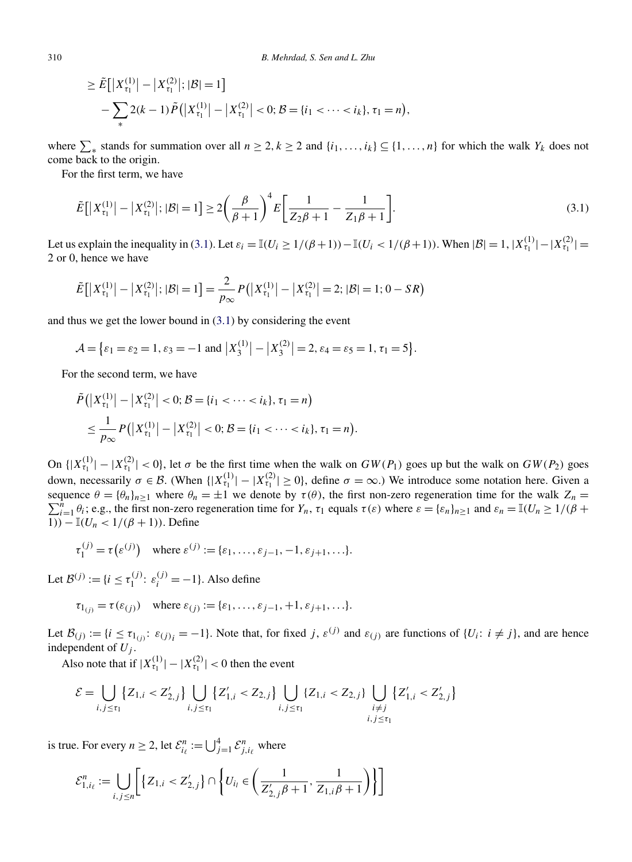$$
\geq \tilde{E}\big[\big|X_{\tau_1}^{(1)}\big| - \big|X_{\tau_1}^{(2)}\big|; |\mathcal{B}| = 1\big] - \sum_{\ast} 2(k-1)\tilde{P}\big(\big|X_{\tau_1}^{(1)}\big| - \big|X_{\tau_1}^{(2)}\big| < 0; \mathcal{B} = \{i_1 < \cdots < i_k\}, \tau_1 = n\big),
$$

where  $\sum_{\alpha}$  stands for summation over all  $n \geq 2, k \geq 2$  and  $\{i_1, \ldots, i_k\} \subseteq \{1, \ldots, n\}$  for which the walk  $Y_k$  does not come back to the origin.

For the first term, we have

$$
\tilde{E}\big[\big|X_{\tau_1}^{(1)}\big| - \big|X_{\tau_1}^{(2)}\big|; |\mathcal{B}| = 1\big] \ge 2\bigg(\frac{\beta}{\beta+1}\bigg)^4 E\bigg[\frac{1}{Z_2\beta+1} - \frac{1}{Z_1\beta+1}\bigg].\tag{3.1}
$$

Let us explain the inequality in (3.1). Let  $\varepsilon_i = \mathbb{I}(U_i \ge 1/(\beta+1)) - \mathbb{I}(U_i < 1/(\beta+1))$ . When  $|\mathcal{B}| = 1, |X_{\tau_1}^{(1)}| - |X_{\tau_1}^{(2)}| =$ 2 or 0, hence we have

$$
\tilde{E}\big[\big|X_{\tau_1}^{(1)}\big| - \big|X_{\tau_1}^{(2)}\big|; |\mathcal{B}| = 1\big] = \frac{2}{p_{\infty}} P\big(\big|X_{\tau_1}^{(1)}\big| - \big|X_{\tau_1}^{(2)}\big| = 2; |\mathcal{B}| = 1; 0 - SR\big)
$$

and thus we get the lower bound in (3.1) by considering the event

$$
\mathcal{A} = \{ \varepsilon_1 = \varepsilon_2 = 1, \varepsilon_3 = -1 \text{ and } \left| X_3^{(1)} \right| - \left| X_3^{(2)} \right| = 2, \varepsilon_4 = \varepsilon_5 = 1, \tau_1 = 5 \}.
$$

For the second term, we have

$$
\tilde{P}(|X_{\tau_1}^{(1)}|-|X_{\tau_1}^{(2)}|<0; \mathcal{B}=\{i_1 < \cdots < i_k\}, \tau_1=n)
$$
\n
$$
\leq \frac{1}{p_{\infty}} P(|X_{\tau_1}^{(1)}|-|X_{\tau_1}^{(2)}|<0; \mathcal{B}=\{i_1 < \cdots < i_k\}, \tau_1=n).
$$

On  $\{ |X_{\tau_1}^{(1)}| - |X_{\tau_1}^{(2)}| < 0 \}$ , let  $\sigma$  be the first time when the walk on  $GW(P_1)$  goes up but the walk on  $GW(P_2)$  goes down, necessarily  $\sigma \in \mathcal{B}$ . (When  $\{|X_{\tau_1}^{(1)}| - |X_{\tau_1}^{(2)}| \ge 0\}$ , define  $\sigma = \infty$ .) We introduce some notation here. Given a sequence  $\theta = {\theta_n}_{n \ge 1}$  where  $\theta_n = \pm 1$  we denote by  $\tau(\theta)$ , the first non-zero regeneration time for the walk  $Z_n = \sum_{i=1}^n \theta_i$ ; e.g., the first non-zero regeneration time for  $Y_n$ ,  $\tau_1$  equals  $\tau(\varepsilon)$  where  $\varepsilon =$ 1*))* − I*(Un <* 1*/(β* + 1*))*. Define

$$
\tau_1^{(j)} = \tau(\varepsilon^{(j)}) \quad \text{where } \varepsilon^{(j)} := \{\varepsilon_1, \dots, \varepsilon_{j-1}, -1, \varepsilon_{j+1}, \dots\}.
$$

Let  $\mathcal{B}^{(j)} := \{i \leq \tau_1^{(j)} : \varepsilon_i^{(j)} = -1\}$ . Also define

$$
\tau_{1(j)} = \tau(\varepsilon_{(j)})
$$
 where  $\varepsilon_{(j)} := {\varepsilon_1, \ldots, \varepsilon_{j-1}, +1, \varepsilon_{j+1}, \ldots}.$ 

Let  $\mathcal{B}(j) := \{i \leq \tau_{1(j)} : \varepsilon(j)_i = -1\}$ . Note that, for fixed *j*,  $\varepsilon^{(j)}$  and  $\varepsilon_{(j)}$  are functions of  $\{U_i : i \neq j\}$ , and are hence independent of  $U_j$ .

Also note that if  $|X_{\tau_1}^{(1)}| - |X_{\tau_1}^{(2)}| < 0$  then the event

$$
\mathcal{E} = \bigcup_{i,j \leq \tau_1} \{Z_{1,i} < Z'_{2,j}\} \bigcup_{i,j \leq \tau_1} \{Z'_{1,i} < Z_{2,j}\} \bigcup_{i,j \leq \tau_1} \{Z_{1,i} < Z_{2,j}\} \bigcup_{\substack{i \neq j \\ i,j \leq \tau_1}} \{Z'_{1,i} < Z'_{2,j}\}
$$

is true. For every  $n \ge 2$ , let  $\mathcal{E}_{i_\ell}^n := \bigcup_{j=1}^4 \mathcal{E}_{j,i_\ell}^n$  where

$$
\mathcal{E}^n_{1,i_\ell} := \bigcup_{i,j \le n} \bigg[ \{ Z_{1,i} < Z'_{2,j} \} \cap \bigg\{ U_{i_l} \in \bigg( \frac{1}{Z'_{2,j}\beta + 1}, \frac{1}{Z_{1,i}\beta + 1} \bigg) \bigg\} \bigg]
$$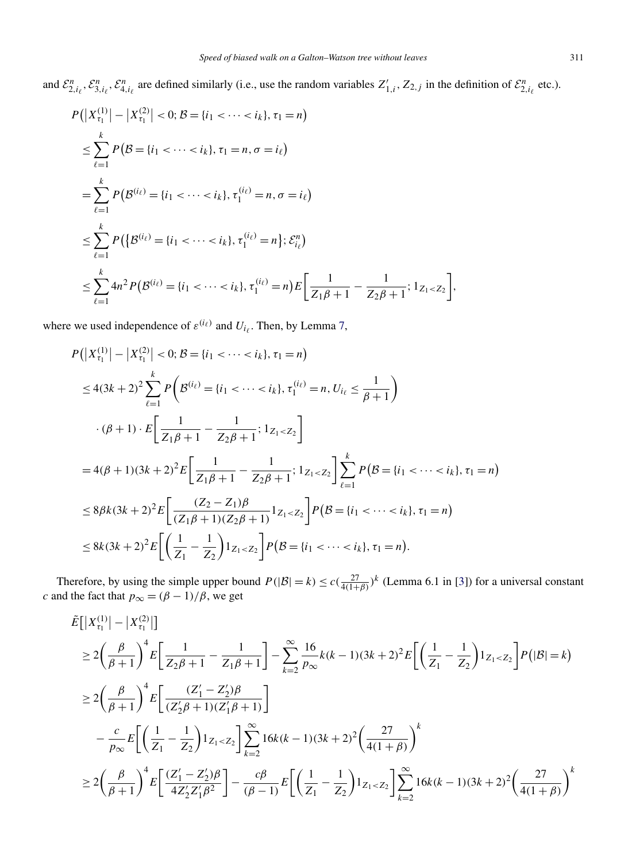<span id="page-7-0"></span>and  $\mathcal{E}_{2,i_\ell}^n$ ,  $\mathcal{E}_{3,i_\ell}^n$ ,  $\mathcal{E}_{4,i_\ell}^n$  are defined similarly (i.e., use the random variables  $Z'_{1,i}$ ,  $Z_{2,j}$  in the definition of  $\mathcal{E}_{2,i_\ell}^n$  etc.).

$$
P(|X_{\tau_1}^{(1)}| - |X_{\tau_1}^{(2)}| < 0; \mathcal{B} = \{i_1 < \dots < i_k\}, \tau_1 = n)
$$
\n
$$
\leq \sum_{\ell=1}^k P(\mathcal{B} = \{i_1 < \dots < i_k\}, \tau_1 = n, \sigma = i_\ell)
$$
\n
$$
= \sum_{\ell=1}^k P(\mathcal{B}^{(i_\ell)} = \{i_1 < \dots < i_k\}, \tau_1^{(i_\ell)} = n, \sigma = i_\ell)
$$
\n
$$
\leq \sum_{\ell=1}^k P(\{\mathcal{B}^{(i_\ell)} = \{i_1 < \dots < i_k\}, \tau_1^{(i_\ell)} = n\}; \mathcal{E}_{i_\ell}^n)
$$
\n
$$
\leq \sum_{\ell=1}^k 4n^2 P(\mathcal{B}^{(i_\ell)} = \{i_1 < \dots < i_k\}, \tau_1^{(i_\ell)} = n\}) E\left[\frac{1}{Z_1\beta + 1} - \frac{1}{Z_2\beta + 1}; 1_{Z_1 < Z_2}\right],
$$

where we used independence of  $\varepsilon^{(i_{\ell})}$  and  $U_{i_{\ell}}$ . Then, by Lemma [7,](#page-5-0)

$$
P(|X_{\tau_1}^{(1)}| - |X_{\tau_1}^{(2)}| < 0; \mathcal{B} = \{i_1 < \dots < i_k\}, \tau_1 = n)
$$
  
\n
$$
\leq 4(3k+2)^2 \sum_{\ell=1}^k P\left(\mathcal{B}^{(i_{\ell})} = \{i_1 < \dots < i_k\}, \tau_1^{(i_{\ell})} = n, U_{i_{\ell}} \leq \frac{1}{\beta+1}\right)
$$
  
\n
$$
\cdot (\beta+1) \cdot E\left[\frac{1}{Z_1\beta+1} - \frac{1}{Z_2\beta+1}; 1_{Z_1 < Z_2}\right]
$$
  
\n
$$
= 4(\beta+1)(3k+2)^2 E\left[\frac{1}{Z_1\beta+1} - \frac{1}{Z_2\beta+1}; 1_{Z_1 < Z_2}\right] \sum_{\ell=1}^k P(\mathcal{B} = \{i_1 < \dots < i_k\}, \tau_1 = n)
$$
  
\n
$$
\leq 8\beta k (3k+2)^2 E\left[\frac{(Z_2 - Z_1)\beta}{(Z_1\beta+1)(Z_2\beta+1)} 1_{Z_1 < Z_2}\right] P(\mathcal{B} = \{i_1 < \dots < i_k\}, \tau_1 = n)
$$
  
\n
$$
\leq 8k (3k+2)^2 E\left[\left(\frac{1}{Z_1} - \frac{1}{Z_2}\right) 1_{Z_1 < Z_2}\right] P(\mathcal{B} = \{i_1 < \dots < i_k\}, \tau_1 = n).
$$

Therefore, by using the simple upper bound  $P(|\mathcal{B}| = k) \le c(\frac{27}{4(1+\beta)})^k$  (Lemma 6.1 in [\[3\]](#page-14-0)) for a universal constant *c* and the fact that  $p_{\infty} = (\beta - 1)/\beta$ , we get

$$
\tilde{E}[|X_{\tau_1}^{(1)}| - |X_{\tau_1}^{(2)}|] \n\geq 2\left(\frac{\beta}{\beta+1}\right)^4 E\left[\frac{1}{Z_2\beta+1} - \frac{1}{Z_1\beta+1}\right] - \sum_{k=2}^{\infty} \frac{16}{p_{\infty}} k(k-1)(3k+2)^2 E\left[\left(\frac{1}{Z_1} - \frac{1}{Z_2}\right)1_{Z_1 < Z_2}\right] P(|\mathcal{B}| = k) \n\geq 2\left(\frac{\beta}{\beta+1}\right)^4 E\left[\frac{(Z_1' - Z_2')\beta}{(Z_2'\beta+1)(Z_1'\beta+1)}\right] \n- \frac{c}{p_{\infty}} E\left[\left(\frac{1}{Z_1} - \frac{1}{Z_2}\right)1_{Z_1 < Z_2}\right] \sum_{k=2}^{\infty} 16k(k-1)(3k+2)^2 \left(\frac{27}{4(1+\beta)}\right)^k \n\geq 2\left(\frac{\beta}{\beta+1}\right)^4 E\left[\frac{(Z_1' - Z_2')\beta}{4Z_2'Z_1'\beta^2}\right] - \frac{c\beta}{(\beta-1)} E\left[\left(\frac{1}{Z_1} - \frac{1}{Z_2}\right)1_{Z_1 < Z_2}\right] \sum_{k=2}^{\infty} 16k(k-1)(3k+2)^2 \left(\frac{27}{4(1+\beta)}\right)^k
$$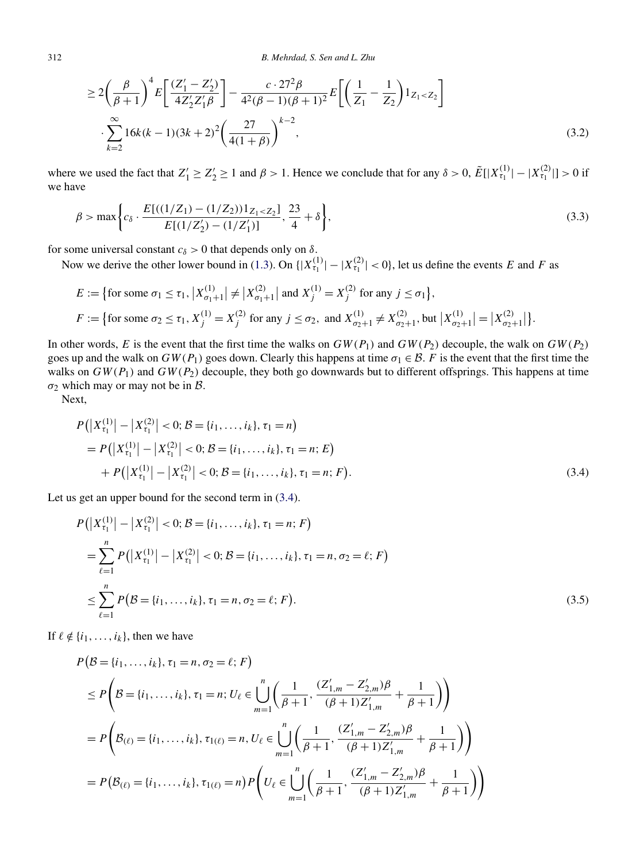<span id="page-8-0"></span>
$$
\geq 2\left(\frac{\beta}{\beta+1}\right)^4 E\left[\frac{(Z_1'-Z_2')}{4Z_2'Z_1'\beta}\right] - \frac{c \cdot 27^2 \beta}{4^2(\beta-1)(\beta+1)^2} E\left[\left(\frac{1}{Z_1} - \frac{1}{Z_2}\right)1_{Z_1 < Z_2}\right] \cdot \sum_{k=2}^{\infty} 16k(k-1)(3k+2)^2 \left(\frac{27}{4(1+\beta)}\right)^{k-2},
$$
\n(3.2)

where we used the fact that  $Z'_1 \geq Z'_2 \geq 1$  and  $\beta > 1$ . Hence we conclude that for any  $\delta > 0$ ,  $\tilde{E}[|X_{\tau_1}^{(1)}| - |X_{\tau_1}^{(2)}|] > 0$  if we have

$$
\beta > \max\bigg\{c_{\delta} \cdot \frac{E[((1/Z_1) - (1/Z_2))1_{Z_1 < Z_2]}{E[(1/Z_2') - (1/Z_1')]}, \frac{23}{4} + \delta\bigg\},\tag{3.3}
$$

for some universal constant  $c_{\delta} > 0$  that depends only on  $\delta$ .

Now we derive the other lower bound in [\(1.3\)](#page-1-0). On  $\{|X_{\tau_1}^{(1)}| - |X_{\tau_1}^{(2)}| < 0\}$ , let us define the events *E* and *F* as

$$
E := \{ \text{for some } \sigma_1 \le \tau_1, |X_{\sigma_1+1}^{(1)}| \ne |X_{\sigma_1+1}^{(2)}| \text{ and } X_j^{(1)} = X_j^{(2)} \text{ for any } j \le \sigma_1 \},
$$
  

$$
F := \{ \text{for some } \sigma_2 \le \tau_1, X_j^{(1)} = X_j^{(2)} \text{ for any } j \le \sigma_2, \text{ and } X_{\sigma_2+1}^{(1)} \ne X_{\sigma_2+1}^{(2)}, \text{ but } |X_{\sigma_2+1}^{(1)}| = |X_{\sigma_2+1}^{(2)}| \}.
$$

In other words, *E* is the event that the first time the walks on  $GW(P_1)$  and  $GW(P_2)$  decouple, the walk on  $GW(P_2)$ goes up and the walk on  $GW(P_1)$  goes down. Clearly this happens at time  $\sigma_1 \in \mathcal{B}$ . *F* is the event that the first time the walks on  $GW(P_1)$  and  $GW(P_2)$  decouple, they both go downwards but to different offsprings. This happens at time  $\sigma_2$  which may or may not be in  $\beta$ .

Next,

$$
P(|X_{\tau_1}^{(1)}| - |X_{\tau_1}^{(2)}| < 0; \mathcal{B} = \{i_1, ..., i_k\}, \tau_1 = n)
$$
  
=  $P(|X_{\tau_1}^{(1)}| - |X_{\tau_1}^{(2)}| < 0; \mathcal{B} = \{i_1, ..., i_k\}, \tau_1 = n; E)$   
+  $P(|X_{\tau_1}^{(1)}| - |X_{\tau_1}^{(2)}| < 0; \mathcal{B} = \{i_1, ..., i_k\}, \tau_1 = n; F).$  (3.4)

Let us get an upper bound for the second term in  $(3.4)$ .

$$
P(|X_{\tau_1}^{(1)}| - |X_{\tau_1}^{(2)}| < 0; \mathcal{B} = \{i_1, \dots, i_k\}, \tau_1 = n; F)
$$
\n
$$
= \sum_{\ell=1}^n P(|X_{\tau_1}^{(1)}| - |X_{\tau_1}^{(2)}| < 0; \mathcal{B} = \{i_1, \dots, i_k\}, \tau_1 = n, \sigma_2 = \ell; F)
$$
\n
$$
\leq \sum_{\ell=1}^n P(\mathcal{B} = \{i_1, \dots, i_k\}, \tau_1 = n, \sigma_2 = \ell; F).
$$
\n
$$
(3.5)
$$

If  $\ell \notin \{i_1, \ldots, i_k\}$ , then we have

$$
P(\mathcal{B} = \{i_1, ..., i_k\}, \tau_1 = n, \sigma_2 = \ell; F)
$$
  
\n
$$
\leq P\left(\mathcal{B} = \{i_1, ..., i_k\}, \tau_1 = n; U_\ell \in \bigcup_{m=1}^n \left(\frac{1}{\beta+1}, \frac{(Z'_{1,m} - Z'_{2,m})\beta}{(\beta+1)Z'_{1,m}} + \frac{1}{\beta+1}\right)\right)
$$
  
\n
$$
= P\left(\mathcal{B}_{(\ell)} = \{i_1, ..., i_k\}, \tau_{1(\ell)} = n, U_\ell \in \bigcup_{m=1}^n \left(\frac{1}{\beta+1}, \frac{(Z'_{1,m} - Z'_{2,m})\beta}{(\beta+1)Z'_{1,m}} + \frac{1}{\beta+1}\right)\right)
$$
  
\n
$$
= P\left(\mathcal{B}_{(\ell)} = \{i_1, ..., i_k\}, \tau_{1(\ell)} = n\right) P\left(U_\ell \in \bigcup_{m=1}^n \left(\frac{1}{\beta+1}, \frac{(Z'_{1,m} - Z'_{2,m})\beta}{(\beta+1)Z'_{1,m}} + \frac{1}{\beta+1}\right)\right)
$$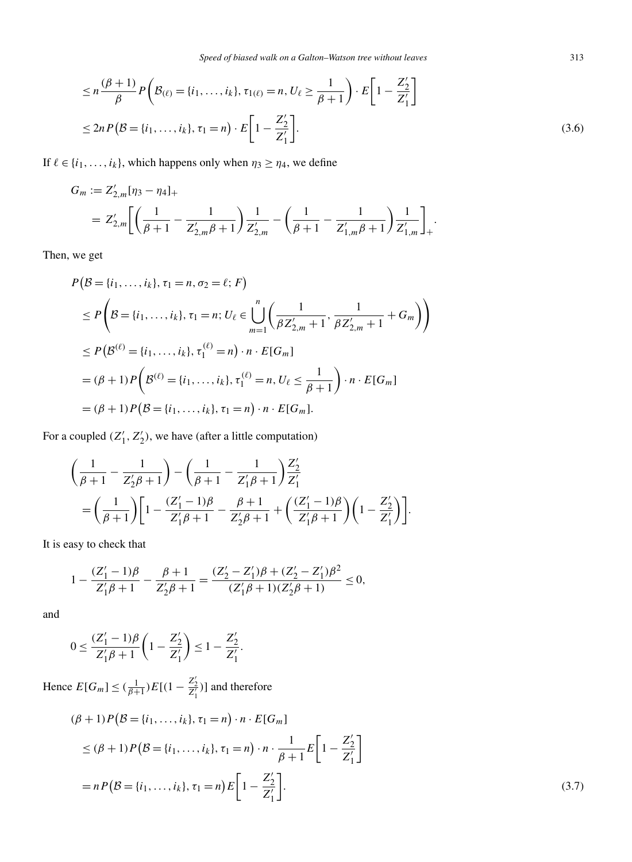<span id="page-9-0"></span>
$$
\leq n \frac{(\beta + 1)}{\beta} P\left(\mathcal{B}_{(\ell)} = \{i_1, \dots, i_k\}, \tau_{1(\ell)} = n, U_{\ell} \geq \frac{1}{\beta + 1}\right) \cdot E\left[1 - \frac{Z_2'}{Z_1'}\right]
$$
  

$$
\leq 2n P\left(\mathcal{B} = \{i_1, \dots, i_k\}, \tau_1 = n\right) \cdot E\left[1 - \frac{Z_2'}{Z_1'}\right].
$$
 (3.6)

If  $\ell \in \{i_1, \ldots, i_k\}$ , which happens only when  $\eta_3 \ge \eta_4$ , we define

$$
G_m := Z'_{2,m}[\eta_3 - \eta_4]_+
$$
  
=  $Z'_{2,m} \left[ \left( \frac{1}{\beta+1} - \frac{1}{Z'_{2,m}\beta + 1} \right) \frac{1}{Z'_{2,m}} - \left( \frac{1}{\beta+1} - \frac{1}{Z'_{1,m}\beta + 1} \right) \frac{1}{Z'_{1,m}} \right]_+.$ 

Then, we get

$$
P(\mathcal{B} = \{i_1, ..., i_k\}, \tau_1 = n, \sigma_2 = \ell; F)
$$
  
\n
$$
\leq P\left(\mathcal{B} = \{i_1, ..., i_k\}, \tau_1 = n; U_{\ell} \in \bigcup_{m=1}^{n} \left(\frac{1}{\beta Z'_{2,m} + 1}, \frac{1}{\beta Z'_{2,m} + 1} + G_m\right)\right)
$$
  
\n
$$
\leq P(\mathcal{B}^{(\ell)} = \{i_1, ..., i_k\}, \tau_1^{(\ell)} = n) \cdot n \cdot E[G_m]
$$
  
\n
$$
= (\beta + 1)P\left(\mathcal{B}^{(\ell)} = \{i_1, ..., i_k\}, \tau_1^{(\ell)} = n, U_{\ell} \leq \frac{1}{\beta + 1}\right) \cdot n \cdot E[G_m]
$$
  
\n
$$
= (\beta + 1)P(\mathcal{B} = \{i_1, ..., i_k\}, \tau_1 = n) \cdot n \cdot E[G_m].
$$

For a coupled  $(Z'_1, Z'_2)$ , we have (after a little computation)

$$
\begin{aligned}&\left(\frac{1}{\beta+1}-\frac{1}{Z_2'\beta+1}\right)-\left(\frac{1}{\beta+1}-\frac{1}{Z_1'\beta+1}\right)\frac{Z_2'}{Z_1'}\\&=\left(\frac{1}{\beta+1}\right)\left[1-\frac{(Z_1'-1)\beta}{Z_1'\beta+1}-\frac{\beta+1}{Z_2'\beta+1}+\left(\frac{(Z_1'-1)\beta}{Z_1'\beta+1}\right)\left(1-\frac{Z_2'}{Z_1'}\right)\right].\end{aligned}
$$

It is easy to check that

$$
1-\frac{(Z_1'-1)\beta}{Z_1'\beta+1}-\frac{\beta+1}{Z_2'\beta+1}=\frac{(Z_2'-Z_1')\beta+(Z_2'-Z_1')\beta^2}{(Z_1'\beta+1)(Z_2'\beta+1)}\leq 0,
$$

and

$$
0 \le \frac{(Z_1' - 1)\beta}{Z_1'\beta + 1} \left(1 - \frac{Z_2'}{Z_1'}\right) \le 1 - \frac{Z_2'}{Z_1'}.
$$

Hence  $E[G_m] \leq (\frac{1}{\beta+1})E[(1-\frac{Z'_2}{Z'_1})]$  and therefore

$$
(\beta + 1)P(\beta = \{i_1, ..., i_k\}, \tau_1 = n) \cdot n \cdot E[G_m]
$$
  
\n
$$
\leq (\beta + 1)P(\beta = \{i_1, ..., i_k\}, \tau_1 = n) \cdot n \cdot \frac{1}{\beta + 1}E\left[1 - \frac{Z'_2}{Z'_1}\right]
$$
  
\n
$$
= nP(\beta = \{i_1, ..., i_k\}, \tau_1 = n)E\left[1 - \frac{Z'_2}{Z'_1}\right].
$$
\n(3.7)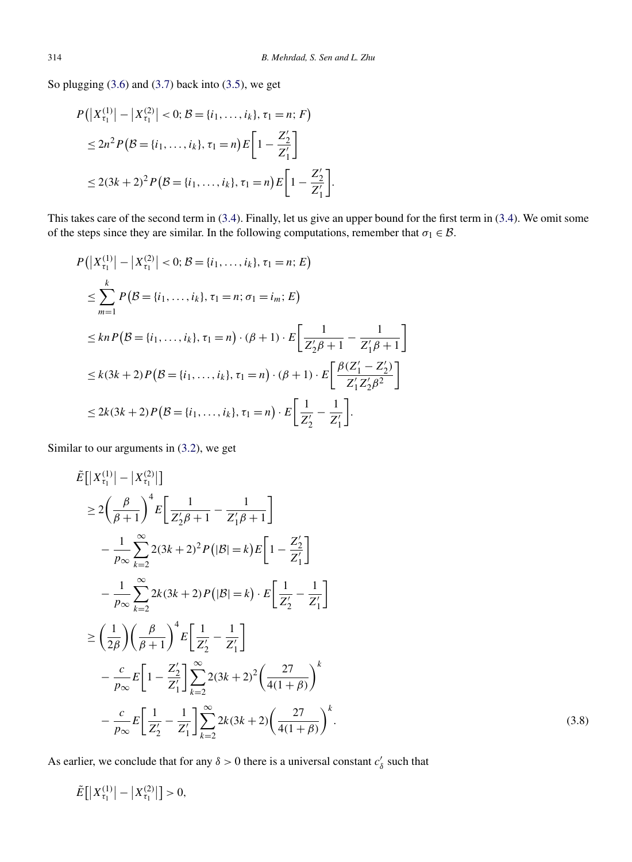<span id="page-10-0"></span>So plugging [\(3.6\)](#page-8-0) and [\(3.7\)](#page-9-0) back into [\(3.5\)](#page-8-0), we get

$$
P(|X_{\tau_1}^{(1)}| - |X_{\tau_1}^{(2)}| < 0; \mathcal{B} = \{i_1, ..., i_k\}, \tau_1 = n; F)
$$
  
\n
$$
\leq 2n^2 P(\mathcal{B} = \{i_1, ..., i_k\}, \tau_1 = n) E\left[1 - \frac{Z'_2}{Z'_1}\right]
$$
  
\n
$$
\leq 2(3k+2)^2 P(\mathcal{B} = \{i_1, ..., i_k\}, \tau_1 = n) E\left[1 - \frac{Z'_2}{Z'_1}\right].
$$

This takes care of the second term in [\(3.4\)](#page-8-0). Finally, let us give an upper bound for the first term in [\(3.4\)](#page-8-0). We omit some of the steps since they are similar. In the following computations, remember that  $\sigma_1 \in \mathcal{B}$ .

$$
P(|X_{\tau_1}^{(1)}| - |X_{\tau_1}^{(2)}| < 0; \mathcal{B} = \{i_1, ..., i_k\}, \tau_1 = n; E)
$$
  
\n
$$
\leq \sum_{m=1}^k P(\mathcal{B} = \{i_1, ..., i_k\}, \tau_1 = n; \sigma_1 = i_m; E)
$$
  
\n
$$
\leq kn P(\mathcal{B} = \{i_1, ..., i_k\}, \tau_1 = n) \cdot (\beta + 1) \cdot E\left[\frac{1}{Z_2^{\prime}\beta + 1} - \frac{1}{Z_1^{\prime}\beta + 1}\right]
$$
  
\n
$$
\leq k(3k + 2) P(\mathcal{B} = \{i_1, ..., i_k\}, \tau_1 = n) \cdot (\beta + 1) \cdot E\left[\frac{\beta(Z_1^{\prime} - Z_2^{\prime})}{Z_1^{\prime}Z_2^{\prime}\beta^2}\right]
$$
  
\n
$$
\leq 2k(3k + 2) P(\mathcal{B} = \{i_1, ..., i_k\}, \tau_1 = n) \cdot E\left[\frac{1}{Z_2^{\prime}} - \frac{1}{Z_1^{\prime}}\right].
$$

Similar to our arguments in [\(3.2\)](#page-7-0), we get

$$
\tilde{E}[|X_{\tau_1}^{(1)}| - |X_{\tau_1}^{(2)}|]
$$
\n
$$
\geq 2\left(\frac{\beta}{\beta+1}\right)^4 E\left[\frac{1}{Z_2^{\prime}\beta+1} - \frac{1}{Z_1^{\prime}\beta+1}\right]
$$
\n
$$
-\frac{1}{p_{\infty}} \sum_{k=2}^{\infty} 2(3k+2)^2 P(|\mathcal{B}| = k) E\left[1 - \frac{Z_2^{\prime}}{Z_1^{\prime}}\right]
$$
\n
$$
-\frac{1}{p_{\infty}} \sum_{k=2}^{\infty} 2k(3k+2) P(|\mathcal{B}| = k) \cdot E\left[\frac{1}{Z_2^{\prime}} - \frac{1}{Z_1^{\prime}}\right]
$$
\n
$$
\geq \left(\frac{1}{2\beta}\right) \left(\frac{\beta}{\beta+1}\right)^4 E\left[\frac{1}{Z_2^{\prime}} - \frac{1}{Z_1^{\prime}}\right]
$$
\n
$$
-\frac{c}{p_{\infty}} E\left[1 - \frac{Z_2^{\prime}}{Z_1^{\prime}}\right] \sum_{k=2}^{\infty} 2(3k+2)^2 \left(\frac{27}{4(1+\beta)}\right)^k
$$
\n
$$
-\frac{c}{p_{\infty}} E\left[\frac{1}{Z_2^{\prime}} - \frac{1}{Z_1^{\prime}}\right] \sum_{k=2}^{\infty} 2k(3k+2) \left(\frac{27}{4(1+\beta)}\right)^k.
$$
\n(3.8)

As earlier, we conclude that for any  $\delta > 0$  there is a universal constant  $c'_{\delta}$  such that

$$
\tilde{E}\big[\big|X_{\tau_1}^{(1)}\big| - \big|X_{\tau_1}^{(2)}\big|\big] > 0,
$$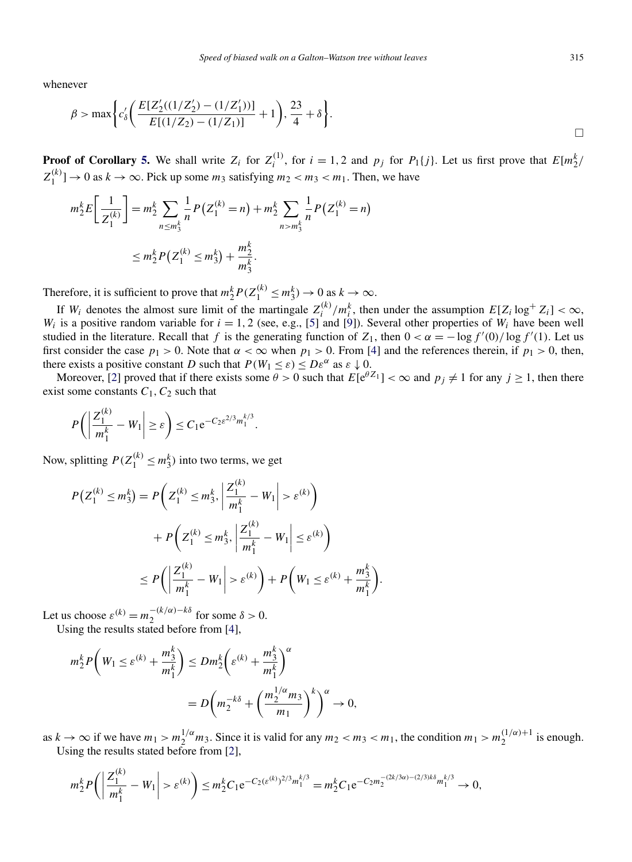whenever

$$
\beta > \max \bigg\{ c'_\delta \bigg( \frac{E[Z'_2((1/Z'_2) - (1/Z'_1))] }{E[(1/Z_2) - (1/Z_1)]} + 1 \bigg), \frac{23}{4} + \delta \bigg\}.
$$

**Proof of Corollary [5.](#page-2-0)** We shall write  $Z_i$  for  $Z_i^{(1)}$ , for  $i = 1, 2$  and  $p_j$  for  $P_1\{j\}$ . Let us first prove that  $E[m_2^k/n]$  $Z_1^{(k)}$   $\to$  0 as  $k \to \infty$ . Pick up some  $m_3$  satisfying  $m_2 < m_3 < m_1$ . Then, we have

$$
m_2^k E\left[\frac{1}{Z_1^{(k)}}\right] = m_2^k \sum_{n \le m_3^k} \frac{1}{n} P\left(Z_1^{(k)} = n\right) + m_2^k \sum_{n > m_3^k} \frac{1}{n} P\left(Z_1^{(k)} = n\right)
$$
  

$$
\le m_2^k P\left(Z_1^{(k)} \le m_3^k\right) + \frac{m_2^k}{m_3^k}.
$$

Therefore, it is sufficient to prove that  $m_2^k P(Z_1^{(k)} \le m_3^k) \to 0$  as  $k \to \infty$ .

If  $W_i$  denotes the almost sure limit of the martingale  $Z_i^{(k)}/m_i^k$ , then under the assumption  $E[Z_i \log^+ Z_i] < \infty$ , *W<sub>i</sub>* is a positive random variable for  $i = 1, 2$  (see, e.g., [\[5\]](#page-14-0) and [\[9\]](#page-14-0)). Several other properties of *W<sub>i</sub>* have been well studied in the literature. Recall that *f* is the generating function of  $Z_1$ , then  $0 < \alpha = -\log f'(0) / \log f'(1)$ . Let us first consider the case  $p_1 > 0$ . Note that  $\alpha < \infty$  when  $p_1 > 0$ . From [\[4\]](#page-14-0) and the references therein, if  $p_1 > 0$ , then, there exists a positive constant *D* such that  $P(W_1 \le \varepsilon) \le D\varepsilon^{\alpha}$  as  $\varepsilon \downarrow 0$ .

Moreover, [\[2\]](#page-14-0) proved that if there exists some  $\theta > 0$  such that  $E[e^{\theta Z_1}] < \infty$  and  $p_j \neq 1$  for any  $j \geq 1$ , then there exist some constants  $C_1$ ,  $C_2$  such that

$$
P\bigg(\bigg|\frac{Z_1^{(k)}}{m_1^k}-W_1\bigg|\geq \varepsilon\bigg)\leq C_1e^{-C_2\varepsilon^{2/3}m_1^{k/3}}.
$$

Now, splitting  $P(Z_1^{(k)} \le m_3^k)$  into two terms, we get

$$
P(Z_1^{(k)} \le m_3^k) = P\left(Z_1^{(k)} \le m_3^k, \left|\frac{Z_1^{(k)}}{m_1^k} - W_1\right| > \varepsilon^{(k)}\right) + P\left(Z_1^{(k)} \le m_3^k, \left|\frac{Z_1^{(k)}}{m_1^k} - W_1\right| \le \varepsilon^{(k)}\right) \le P\left(\left|\frac{Z_1^{(k)}}{m_1^k} - W_1\right| > \varepsilon^{(k)}\right) + P\left(W_1 \le \varepsilon^{(k)} + \frac{m_3^k}{m_1^k}\right)
$$

Let us choose  $\varepsilon^{(k)} = m_2^{-(k/\alpha)-k\delta}$  for some  $\delta > 0$ . Using the results stated before from [\[4\]](#page-14-0)

Using the results stated of the form 
$$
\begin{bmatrix} 1 \\ 1 \end{bmatrix}
$$
,

$$
m_2^k P\left(W_1 \le \varepsilon^{(k)} + \frac{m_3^k}{m_1^k}\right) \le Dm_2^k \left(\varepsilon^{(k)} + \frac{m_3^k}{m_1^k}\right)^\alpha
$$
  
= 
$$
D\left(m_2^{-k\delta} + \left(\frac{m_2^{1/\alpha} m_3}{m_1}\right)^k\right)^\alpha \to 0,
$$

as  $k \to \infty$  if we have  $m_1 > m_2^{1/\alpha} m_3$ . Since it is valid for any  $m_2 < m_3 < m_1$ , the condition  $m_1 > m_2^{(1/\alpha)+1}$  is enough. Using the results stated before from [\[2\]](#page-14-0),

*.*

$$
m_2^k P\left(\left|\frac{Z_1^{(k)}}{m_1^k} - W_1\right| > \varepsilon^{(k)}\right) \le m_2^k C_1 e^{-C_2(\varepsilon^{(k)})^{2/3} m_1^{k/3}} = m_2^k C_1 e^{-C_2 m_2^{-(2k/3\alpha)-(2/3)k\delta} m_1^{k/3}} \to 0,
$$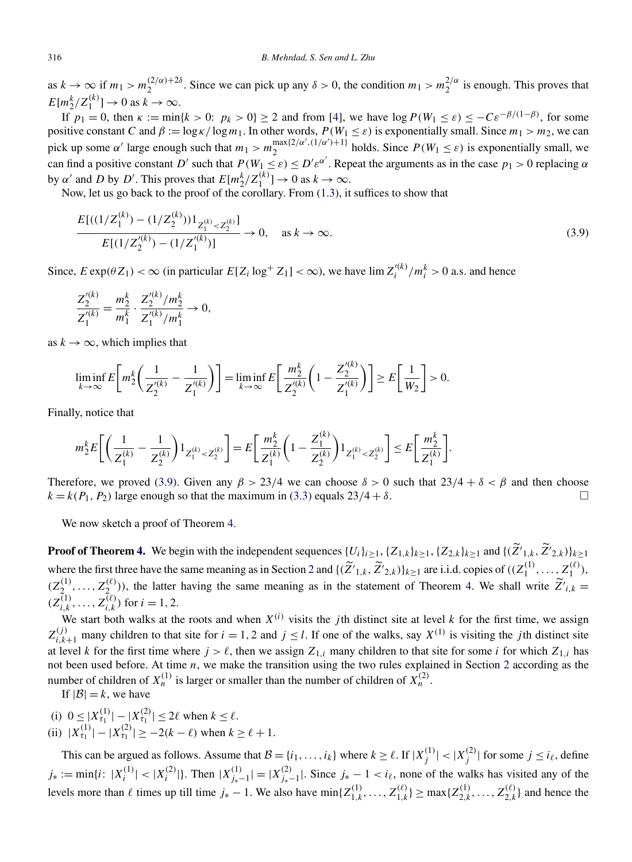as  $k \to \infty$  if  $m_1 > m_2^{(2/\alpha)+2\delta}$ . Since we can pick up any  $\delta > 0$ , the condition  $m_1 > m_2^{2/\alpha}$  is enough. This proves that  $E[m^k_2/Z_1^{(k)}] \to 0$  as  $k \to \infty$ .

If  $p_1 = 0$ , then  $\kappa := \min\{k > 0: p_k > 0\} \ge 2$  and from [\[4\]](#page-14-0), we have  $\log P(W_1 \le \varepsilon) \le -C\varepsilon^{-\beta/(1-\beta)}$ , for some positive constant *C* and  $\beta := \log \kappa / \log m_1$ . In other words,  $P(W_1 \le \varepsilon)$  is exponentially small. Since  $m_1 > m_2$ , we can pick up some *α'* large enough such that  $m_1 > m_2^{\max\{2/\alpha', (1/\alpha')+1\}}$  holds. Since  $P(W_1 \leq \varepsilon)$  is exponentially small, we can find a positive constant *D'* such that  $P(W_1 \leq \varepsilon) \leq D'\varepsilon^{\alpha'}$ . Repeat the arguments as in the case  $p_1 > 0$  replacing  $\alpha$ by *α'* and *D* by *D'*. This proves that  $E[m_2^k/Z_1^{(k)}] \to 0$  as  $k \to \infty$ .

Now, let us go back to the proof of the corollary. From [\(1.3\)](#page-1-0), it suffices to show that

$$
\frac{E[((1/Z_1^{(k)}) - (1/Z_2^{(k)}))1_{Z_1^{(k)} < Z_2^{(k)}}]}{E[(1/Z_2'^{(k)}) - (1/Z_1'^{(k)})]} \to 0, \quad \text{as } k \to \infty. \tag{3.9}
$$

Since,  $E \exp(\theta Z_1) < \infty$  (in particular  $E[Z_i \log^+ Z_1] < \infty$ ), we have  $\lim Z_i'^{(k)}/m_i^k > 0$  a.s. and hence

$$
\frac{Z_2^{\prime (k)}}{Z_1^{\prime (k)}} = \frac{m_2^k}{m_1^k} \cdot \frac{Z_2^{\prime (k)}/m_2^k}{Z_1^{\prime (k)}/m_1^k} \to 0,
$$

as  $k \to \infty$ , which implies that

$$
\liminf_{k \to \infty} E\bigg[m_2^k \bigg(\frac{1}{Z_2^{'(k)}} - \frac{1}{Z_1^{'(k)}}\bigg)\bigg] = \liminf_{k \to \infty} E\bigg[\frac{m_2^k}{Z_2^{'(k)}} \bigg(1 - \frac{Z_2^{'(k)}}{Z_1^{'(k)}}\bigg)\bigg] \ge E\bigg[\frac{1}{W_2}\bigg] > 0.
$$

Finally, notice that

$$
m_2^k E\bigg[\bigg(\frac{1}{Z_1^{(k)}}-\frac{1}{Z_2^{(k)}}\bigg)1_{Z_1^{(k)}
$$

Therefore, we proved (3.9). Given any  $\beta > 23/4$  we can choose  $\delta > 0$  such that  $23/4 + \delta < \beta$  and then choose  $k = k(P_1, P_2)$  large enough so that the maximum in [\(3.3\)](#page-8-0) equals  $23/4 + \delta$ .

We now sketch a proof of Theorem [4.](#page-2-0)

**Proof of Theorem [4.](#page-2-0)** We begin with the independent sequences  $\{U_i\}_{i\geq 1}$ ,  $\{Z_{1,k}\}_{k\geq 1}$ ,  $\{Z_{2,k}\}_{k\geq 1}$  and  $\{(\tilde{Z'}_{1,k}, \tilde{Z'}_{2,k})\}_{k\geq 1}$ where the first three have the same meaning as in Section [2](#page-2-0) and  $\{(\tilde{Z'}_{1,k}, \tilde{Z'}_{2,k})\}_{k\geq 1}$  are i.i.d. copies of  $((Z_1^{(1)},...,Z_1^{(\ell)}),$  $(Z_2^{(1)}, \ldots, Z_2^{(\ell)})$ , the latter having the same meaning as in the statement of Theorem [4.](#page-2-0) We shall write  $\tilde{Z'}_{i,k} =$  $(Z_{i,k}^{(1)}, \ldots, Z_{i,k}^{(\ell)})$  for  $i = 1, 2$ .

We start both walks at the roots and when  $X^{(i)}$  visits the *j*th distinct site at level *k* for the first time, we assign  $Z_{i,k+1}^{(j)}$  many children to that site for  $i = 1, 2$  and  $j \leq l$ . If one of the walks, say  $X^{(1)}$  is visiting the *j* th distinct site at level *k* for the first time where  $j > \ell$ , then we assign  $Z_{1,i}$  many children to that site for some *i* for which  $Z_{1,i}$  has not been used before. At time *n*, we make the transition using the two rules explained in Section [2](#page-2-0) according as the number of children of  $X_n^{(1)}$  is larger or smaller than the number of children of  $X_n^{(2)}$ .

If  $|\mathcal{B}| = k$ , we have

- (i)  $0 \le |X_{\tau_1}^{(1)}| |X_{\tau_1}^{(2)}| \le 2\ell$  when  $k \le \ell$ .
- (ii)  $|X_{\tau_1}^{(1)}| |X_{\tau_1}^{(2)}| \ge -2(k \ell)$  when  $k \ge \ell + 1$ .

This can be argued as follows. Assume that  $B = \{i_1, \ldots, i_k\}$  where  $k \ge \ell$ . If  $|X_j^{(1)}| < |X_j^{(2)}|$  for some  $j \le i_\ell$ , define  $j_* := \min\{i : |X_i^{(1)}| < |X_i^{(2)}|\}$ . Then  $|X_{j_*-1}^{(1)}| = |X_{j_*-1}^{(2)}|$ . Since  $j_* - 1 < i_\ell$ , none of the walks has visited any of the levels more than  $\ell$  times up till time  $j_* - 1$ . We also have  $\min\{Z_{1,k}^{(1)}, \ldots, Z_{1,k}^{(\ell)}\} \ge \max\{Z_{2,k}^{(1)}, \ldots, Z_{2,k}^{(\ell)}\}$  and hence the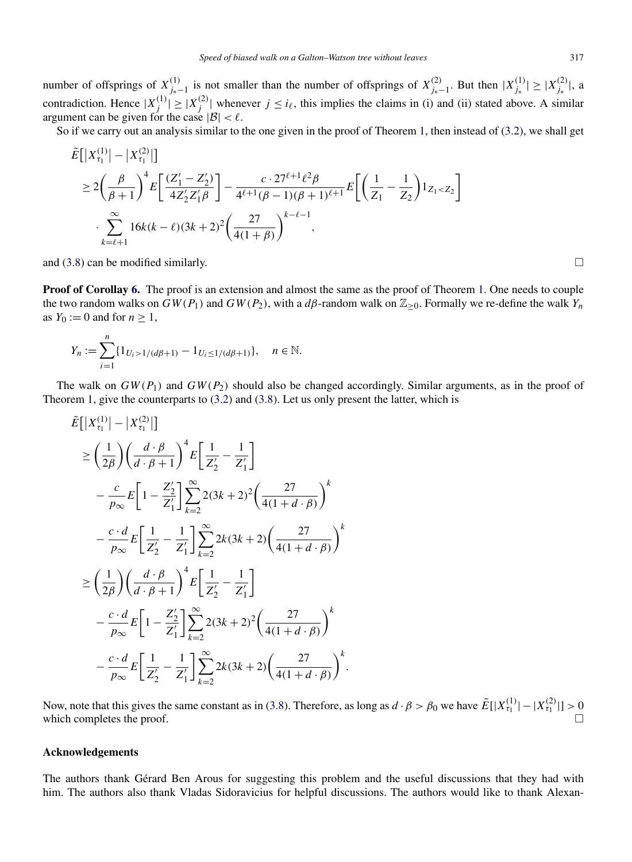number of offsprings of  $X_{j_*-1}^{(1)}$  is not smaller than the number of offsprings of  $X_{j_*-1}^{(2)}$ . But then  $|X_{j_*}^{(1)}| \ge |X_{j_*}^{(2)}|$ , a contradiction. Hence  $|X_j^{(1)}| \ge |X_j^{(2)}|$  whenever  $j \le i_\ell$ , this implies the claims in (i) and (ii) stated above. A similar argument can be given for the case  $|\mathcal{B}| < \ell$ .

So if we carry out an analysis similar to the one given in the proof of Theorem [1,](#page-1-0) then instead of [\(3.2\)](#page-7-0), we shall get

$$
\tilde{E}[|X_{\tau_1}^{(1)}| - |X_{\tau_1}^{(2)}|] \n\ge 2\left(\frac{\beta}{\beta+1}\right)^4 E\left[\frac{(Z_1' - Z_2')}{4Z_2'Z_1'\beta}\right] - \frac{c \cdot 27^{\ell+1}\ell^2\beta}{4^{\ell+1}(\beta-1)(\beta+1)^{\ell+1}} E\left[\left(\frac{1}{Z_1} - \frac{1}{Z_2}\right)1_{Z_1 < Z_2}\right] \n\cdot \sum_{k=\ell+1}^{\infty} 16k(k-\ell)(3k+2)^2 \left(\frac{27}{4(1+\beta)}\right)^{k-\ell-1},
$$

and [\(3.8\)](#page-10-0) can be modified similarly.  $\Box$ 

**Proof of Corollay [6.](#page-2-0)** The proof is an extension and almost the same as the proof of Theorem [1.](#page-1-0) One needs to couple the two random walks on  $GW(P_1)$  and  $GW(P_2)$ , with a  $d\beta$ -random walk on  $\mathbb{Z}_{\geq 0}$ . Formally we re-define the walk  $Y_n$ as  $Y_0 := 0$  and for  $n \geq 1$ ,

$$
Y_n := \sum_{i=1}^n \{1_{U_i > 1/(d\beta + 1)} - 1_{U_i \le 1/(d\beta + 1)}\}, \quad n \in \mathbb{N}.
$$

The walk on  $GW(P_1)$  and  $GW(P_2)$  should also be changed accordingly. Similar arguments, as in the proof of Theorem [1,](#page-1-0) give the counterparts to [\(3.2\)](#page-7-0) and [\(3.8\)](#page-10-0). Let us only present the latter, which is

$$
\tilde{E}[|X_{\tau_{1}}^{(1)}| - |X_{\tau_{1}}^{(2)}|] \n\geq \left(\frac{1}{2\beta}\right) \left(\frac{d \cdot \beta}{d \cdot \beta + 1}\right)^{4} E\left[\frac{1}{Z_{2}'} - \frac{1}{Z_{1}'}\right] \n- \frac{c}{p_{\infty}} E\left[1 - \frac{Z_{2}'}{Z_{1}'}\right] \sum_{k=2}^{\infty} 2(3k + 2)^{2} \left(\frac{27}{4(1 + d \cdot \beta)}\right)^{k} \n- \frac{c \cdot d}{p_{\infty}} E\left[\frac{1}{Z_{2}'} - \frac{1}{Z_{1}'}\right] \sum_{k=2}^{\infty} 2k(3k + 2) \left(\frac{27}{4(1 + d \cdot \beta)}\right)^{k} \n\geq \left(\frac{1}{2\beta}\right) \left(\frac{d \cdot \beta}{d \cdot \beta + 1}\right)^{4} E\left[\frac{1}{Z_{2}'} - \frac{1}{Z_{1}'}\right] \n- \frac{c \cdot d}{p_{\infty}} E\left[1 - \frac{Z_{2}'}{Z_{1}'}\right] \sum_{k=2}^{\infty} 2(3k + 2)^{2} \left(\frac{27}{4(1 + d \cdot \beta)}\right)^{k} \n- \frac{c \cdot d}{p_{\infty}} E\left[\frac{1}{Z_{2}'} - \frac{1}{Z_{1}'}\right] \sum_{k=2}^{\infty} 2k(3k + 2) \left(\frac{27}{4(1 + d \cdot \beta)}\right)^{k}.
$$

Now, note that this gives the same constant as in [\(3.8\)](#page-10-0). Therefore, as long as  $d \cdot \beta > \beta_0$  we have  $\tilde{E}[|X_{\tau_1}^{(1)}| - |X_{\tau_1}^{(2)}|] > 0$ which completes the proof.

#### **Acknowledgements**

The authors thank Gérard Ben Arous for suggesting this problem and the useful discussions that they had with him. The authors also thank Vladas Sidoravicius for helpful discussions. The authors would like to thank Alexan-